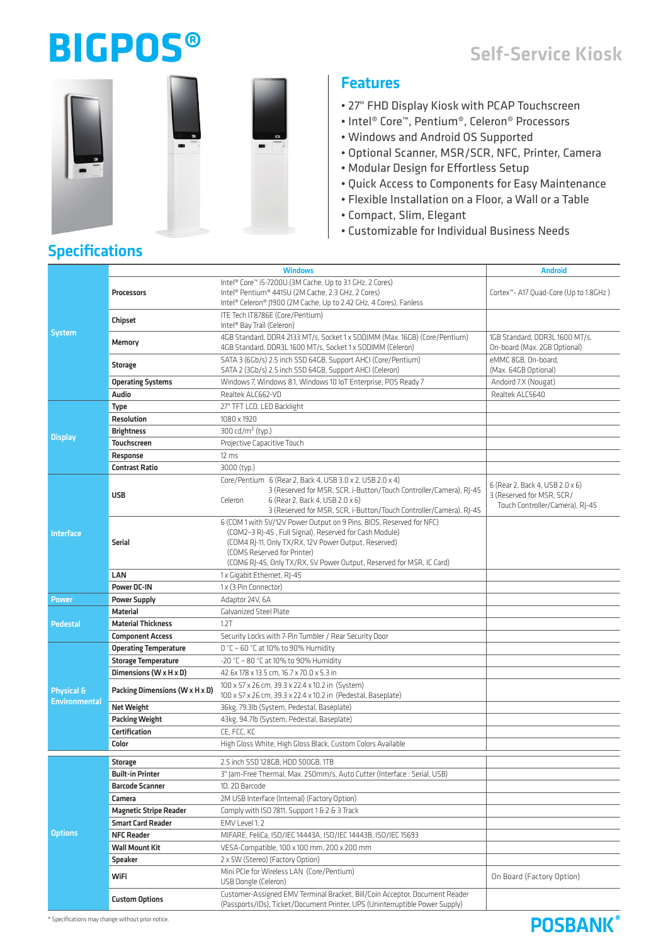# **BIGPOS®**

# Self-Service Kiosk

**POSBANK®** 



## Features

- 27" FHD Display Kiosk with PCAP Touchscreen
- Intel® Core™, Pentium®, Celeron® Processors
- Windows and Android OS Supported
- Optional Scanner, MSR/SCR, NFC, Printer, Camera
- Modular Design for Effortless Setup
- Quick Access to Components for Easy Maintenance
- Flexible Installation on a Floor, a Wall or a Table
- Compact, Slim, Elegant
- Customizable for Individual Business Needs

# Specifications

|                                    | Windows                        |                                                                                                                                                                                                                                                                                               | Android                                                                                         |
|------------------------------------|--------------------------------|-----------------------------------------------------------------------------------------------------------------------------------------------------------------------------------------------------------------------------------------------------------------------------------------------|-------------------------------------------------------------------------------------------------|
| System                             | Processors                     | Intel® Core™ i5-7200U (3M Cache, Up to 3.1 GHz, 2 Cores)<br>Intel® Pentium® 4415U (2M Cache, 2.3 GHz, 2 Cores)<br>Intel® Celeron® J1900 (2M Cache, Up to 2.42 GHz, 4 Cores), Fanless                                                                                                          | Cortex <sup>14</sup> - A17 Quad-Core (Up to 1.8GHz)                                             |
|                                    | Chipset                        | ITE Tech IT8786E (Core/Pentium)<br>Intel <sup>®</sup> Bay Trail (Celeron)                                                                                                                                                                                                                     |                                                                                                 |
|                                    | Memory                         | 4GB Standard, DDR4 2133 MT/s, Socket 1 x SODIMM (Max. 16GB) (Core/Pentium)<br>4GB Standard, DDR3L 1600 MT/s, Socket 1 x SODIMM (Celeron)                                                                                                                                                      | 1GB Standard, DDR3L 1600 MT/s,<br>On-board (Max. 2GB Optional)                                  |
|                                    | Storage                        | SATA 3 (6Gb/s) 2.5 inch SSD 64GB, Support AHCI (Core/Pentium)<br>SATA 2 (3Gb/s) 2.5 inch SSD 64GB, Support AHCI (Celeron)                                                                                                                                                                     | eMMC 8GB, On-board,<br>(Max. 64GB Optional)                                                     |
|                                    | <b>Operating Systems</b>       | Windows 7, Windows 8.1, Windows 10 IoT Enterprise, POS Ready 7                                                                                                                                                                                                                                | Andoird 7.X (Nougat)                                                                            |
|                                    | Audio                          | Realtek ALC662-VD                                                                                                                                                                                                                                                                             | Realtek ALC5640                                                                                 |
| <b>Display</b>                     | Type                           | 27" TFT LCD, LED Backlight                                                                                                                                                                                                                                                                    |                                                                                                 |
|                                    | <b>Resolution</b>              | 1080 x 1920                                                                                                                                                                                                                                                                                   |                                                                                                 |
|                                    | <b>Brightness</b>              | 300 cd/m <sup>2</sup> (typ.)                                                                                                                                                                                                                                                                  |                                                                                                 |
|                                    | <b>Touchscreen</b>             | Projective Capacitive Touch                                                                                                                                                                                                                                                                   |                                                                                                 |
|                                    | Response                       | $12 \text{ ms}$                                                                                                                                                                                                                                                                               |                                                                                                 |
|                                    | <b>Contrast Ratio</b>          | 3000 (typ.)                                                                                                                                                                                                                                                                                   |                                                                                                 |
| Interface                          | <b>USB</b>                     | Core/Pentium 6 (Rear 2, Back 4, USB 3.0 x 2, USB 2.0 x 4)<br>3 (Reserved for MSR, SCR, i-Button/Touch Controller/Camera), RJ-45<br>6 (Rear 2, Back 4, USB 2.0 x 6)<br>Celeron<br>3 (Reserved for MSR, SCR, i-Button/Touch Controller/Camera), RJ-45                                           | 6 (Rear 2, Back 4, USB 2.0 x 6)<br>3 (Reserved for MSR, SCR/<br>Touch Controller/Camera), RJ-45 |
|                                    | Serial                         | 6 (COM 1 with 5V/12V Power Output on 9 Pins, BIOS, Reserved for NFC)<br>(COM2~3 RJ-45, Full Signal), Reserved for Cash Module)<br>(COM4 RJ-11, Only TX/RX, 12V Power Output, Reserved)<br>(COM5 Reserved for Printer)<br>(COM6 RJ-45, Only TX/RX, 5V Power Output, Reserved for MSR, IC Card) |                                                                                                 |
|                                    | LAN                            | 1 x Gigabit Ethernet, RJ-45                                                                                                                                                                                                                                                                   |                                                                                                 |
|                                    | Power DC-IN                    | 1 x (3 Pin Connector)                                                                                                                                                                                                                                                                         |                                                                                                 |
| Power                              | <b>Power Supply</b>            | Adaptor 24V, 6A                                                                                                                                                                                                                                                                               |                                                                                                 |
| <b>Pedestal</b>                    | Material                       | Galvanized Steel Plate                                                                                                                                                                                                                                                                        |                                                                                                 |
|                                    | <b>Material Thickness</b>      | 1.2T                                                                                                                                                                                                                                                                                          |                                                                                                 |
|                                    | <b>Component Access</b>        | Security Locks with 7-Pin Tumbler / Rear Security Door                                                                                                                                                                                                                                        |                                                                                                 |
| Physical &<br><b>Environmental</b> | <b>Operating Temperature</b>   | 0 °C ~ 60 °C at 10% to 90% Humidity                                                                                                                                                                                                                                                           |                                                                                                 |
|                                    | <b>Storage Temperature</b>     | -20 °C ~ 80 °C at 10% to 90% Humidity                                                                                                                                                                                                                                                         |                                                                                                 |
|                                    | Dimensions (W x H x D)         | 42.6x 178 x 13.5 cm, 16.7 x 70.0 x 5.3 in                                                                                                                                                                                                                                                     |                                                                                                 |
|                                    | Packing Dimensions (W x H x D) | 100 x 57 x 26 cm, 39.3 x 22.4 x 10.2 in (System)<br>100 x 57 x 26 cm, 39.3 x 22.4 x 10.2 in (Pedestal, Baseplate)                                                                                                                                                                             |                                                                                                 |
|                                    | <b>Net Weight</b>              | 36kg, 79.3lb (System, Pedestal, Baseplate)                                                                                                                                                                                                                                                    |                                                                                                 |
|                                    | Packing Weight                 | 43kg, 94.7lb (System, Pedestal, Baseplate)                                                                                                                                                                                                                                                    |                                                                                                 |
|                                    | <b>Certification</b>           | CE, FCC, KC                                                                                                                                                                                                                                                                                   |                                                                                                 |
|                                    | Color                          | High Gloss White, High Gloss Black, Custom Colors Available                                                                                                                                                                                                                                   |                                                                                                 |
| <b>Options</b>                     | <b>Storage</b>                 | 2.5 inch SSD 128GB, HDD 500GB, 1TB                                                                                                                                                                                                                                                            |                                                                                                 |
|                                    | <b>Built-in Printer</b>        | 3" Jam-Free Thermal, Max. 250mm/s, Auto Cutter (Interface : Serial, USB)                                                                                                                                                                                                                      |                                                                                                 |
|                                    | <b>Barcode Scanner</b>         | 1D, 2D Barcode                                                                                                                                                                                                                                                                                |                                                                                                 |
|                                    | Camera                         | 2M USB Interface (Internal) (Factory Option)                                                                                                                                                                                                                                                  |                                                                                                 |
|                                    | <b>Magnetic Stripe Reader</b>  | Comply with ISO 7811, Support 1 & 2 & 3 Track                                                                                                                                                                                                                                                 |                                                                                                 |
|                                    | <b>Smart Card Reader</b>       | EMV Level 1, 2                                                                                                                                                                                                                                                                                |                                                                                                 |
|                                    | <b>NFC Reader</b>              | MIFARE, FeliCa, ISO/IEC 14443A, ISO/IEC 14443B, ISO/IEC 15693                                                                                                                                                                                                                                 |                                                                                                 |
|                                    | Wall Mount Kit                 | VESA-Compatible, 100 x 100 mm, 200 x 200 mm                                                                                                                                                                                                                                                   |                                                                                                 |
|                                    | Speaker                        | 2 x 5W (Stereo) (Factory Option)                                                                                                                                                                                                                                                              |                                                                                                 |
|                                    | WiFi                           | Mini PCIe for Wireless LAN (Core/Pentium)<br>USB Dongle (Celeron)                                                                                                                                                                                                                             | On Board (Factory Option)                                                                       |
|                                    | <b>Custom Options</b>          | Customer-Assigned EMV Terminal Bracket, Bill/Coin Acceptor, Document Reader<br>(Passports/IDs), Ticket/Document Printer, UPS (Uninterruptible Power Supply)                                                                                                                                   |                                                                                                 |

 $*$  Specifications may change without prior notice.